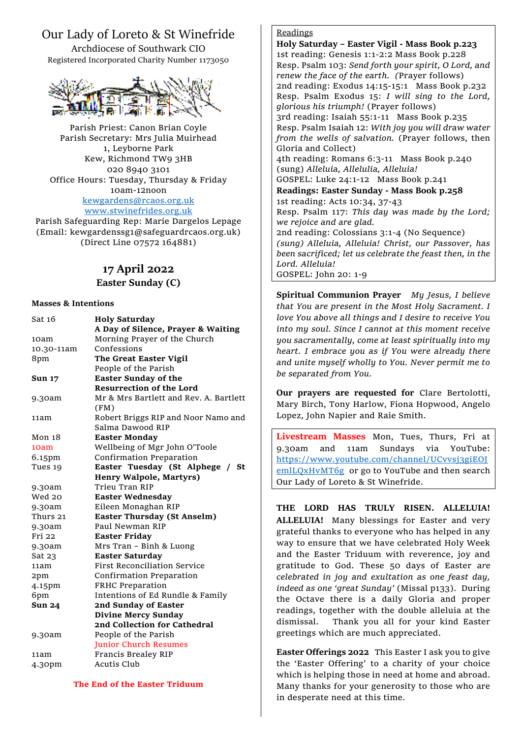# Our Lady of Loreto & St Winefride

Archdiocese of Southwark CIO Registered Incorporated Charity Number 1173050



Parish Priest: Canon Brian Coyle Parish Secretary: Mrs Julia Muirhead 1, Leyborne Park Kew, Richmond TW9 3HB 020 8940 3101 Office Hours: Tuesday, Thursday & Friday 10am-12noon [kewgardens@rcaos.org.uk](mailto:kewgardens@rcaos.org.uk) [www.stwinefrides.org.uk](http://www.stwinefrides.org.uk/)

Parish Safeguarding Rep: Marie Dargelos Lepage (Email: kewgardenssg1@safeguardrcaos.org.uk) (Direct Line 07572 164881)

# **17 April 2022**

**Easter Sunday (C)**

#### **Masses & Intentions**

| Sat 16        | <b>Holy Saturday</b>                   |
|---------------|----------------------------------------|
|               | A Day of Silence, Prayer & Waiting     |
| 10am          | Morning Prayer of the Church           |
| 10.30-11am    | Confessions                            |
| 8pm           | The Great Easter Vigil                 |
|               | People of the Parish                   |
| <b>Sun 17</b> | <b>Easter Sunday of the</b>            |
|               | <b>Resurrection of the Lord</b>        |
| 9.30am        | Mr & Mrs Bartlett and Rev. A. Bartlett |
|               | (FM)                                   |
| 11am          | Robert Briggs RIP and Noor Namo and    |
|               | Salma Dawood RIP                       |
| Mon 18        | <b>Easter Monday</b>                   |
| 10am          | Wellbeing of Mgr John O'Toole          |
| 6.15pm        | Confirmation Preparation               |
| Tues 19       | Easter Tuesday (St Alphege / St        |
|               | <b>Henry Walpole, Martyrs)</b>         |
| 9.30am        | Trieu Tran RIP                         |
| Wed 20        | <b>Easter Wednesday</b>                |
| 9.30am        | Eileen Monaghan RIP                    |
| Thurs 21      | <b>Easter Thursday (St Anselm)</b>     |
| 9.30am        | Paul Newman RIP                        |
| Fri 22        | <b>Easter Friday</b>                   |
| 9.30am        | Mrs Tran - Binh & Luong                |
| Sat 23        | <b>Easter Saturday</b>                 |
| 11am          | <b>First Reconciliation Service</b>    |
| 2pm           | Confirmation Preparation               |
| 4.15pm        | FRHC Preparation                       |
| 6pm           | Intentions of Ed Rundle & Family       |
| <b>Sun 24</b> | 2nd Sunday of Easter                   |
|               | <b>Divine Mercy Sunday</b>             |
|               | 2nd Collection for Cathedral           |
| 9.30am        | People of the Parish                   |
|               | <b>Junior Church Resumes</b>           |
| 11am          | Francis Brealey RIP                    |
| 4.30pm        | <b>Acutis Club</b>                     |
|               |                                        |

## Readings

**Holy Saturday – Easter Vigil - Mass Book p.223** 1st reading: Genesis 1:1-2:2 Mass Book p.228 Resp. Psalm 103: *Send forth your spirit, O Lord, and renew the face of the earth. (*Prayer follows) 2nd reading: Exodus 14:15-15:1 Mass Book p.232 Resp. Psalm Exodus 15: *I will sing to the Lord, glorious his triumph!* (Prayer follows) 3rd reading: Isaiah 55:1-11 Mass Book p.235 Resp. Psalm Isaiah 12: *With joy you will draw water from the wells of salvation.* (Prayer follows, then Gloria and Collect) 4th reading: Romans 6:3-11 Mass Book p.240 (sung) *Alleluia, Allelulia, Alleluia!* GOSPEL: Luke 24:1-12 Mass Book p.241 **Readings: Easter Sunday - Mass Book p.258** 1st reading: Acts 10:34, 37-43 Resp. Psalm 117: *This day was made by the Lord; we rejoice and are glad.* 2nd reading: Colossians 3:1-4 (No Sequence) *(sung) Alleluia, Alleluia! Christ, our Passover, has been sacrificed; let us celebrate the feast then, in the Lord. Alleluia!* GOSPEL: John 20: 1-9

**Spiritual Communion Prayer** *My Jesus, I believe that You are present in the Most Holy Sacrament. I love You above all things and I desire to receive You into my soul. Since I cannot at this moment receive you sacramentally, come at least spiritually into my heart. I embrace you as if You were already there and unite myself wholly to You. Never permit me to be separated from You.*

**Our prayers are requested for** Clare Bertolotti, Mary Birch, Tony Harlow, Fiona Hopwood, Angelo Lopez, John Napier and Raie Smith.

**Livestream Masses** Mon, Tues, Thurs, Fri at 9.30am and 11am Sundays via YouTube: [https://www.youtube.com/channel/UCvvsj3giEOJ](https://www.youtube.com/channel/UCvvsj3giEOJemlLQxHvMT6g) [emlLQxHvMT6g](https://www.youtube.com/channel/UCvvsj3giEOJemlLQxHvMT6g) or go to YouTube and then search Our Lady of Loreto & St Winefride.

**THE LORD HAS TRULY RISEN. ALLELUIA! ALLELUIA!** Many blessings for Easter and very grateful thanks to everyone who has helped in any way to ensure that we have celebrated Holy Week and the Easter Triduum with reverence, joy and gratitude to God. These 50 days of Easter *are celebrated in joy and exultation as one feast day, indeed as one 'great Sunday'* (Missal p133). During the Octave there is a daily Gloria and proper readings, together with the double alleluia at the dismissal. Thank you all for your kind Easter greetings which are much appreciated.

**Easter Offerings 2022** This Easter I ask you to give the 'Easter Offering' to a charity of your choice which is helping those in need at home and abroad. Many thanks for your generosity to those who are in desperate need at this time.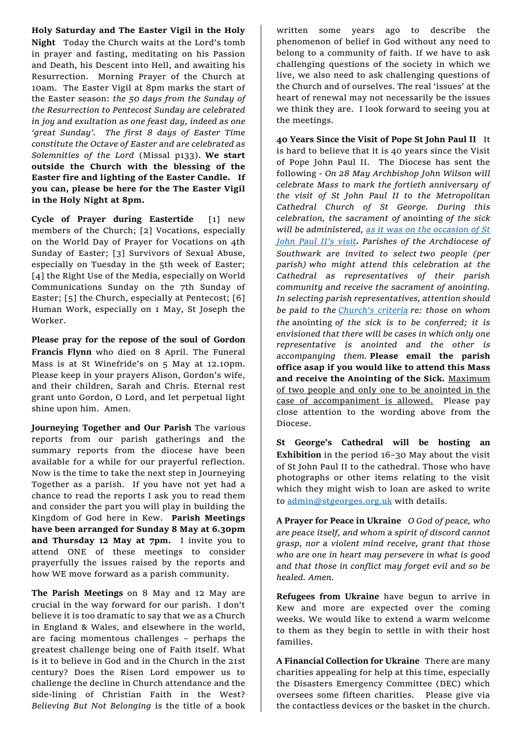**Holy Saturday and The Easter Vigil in the Holy Night** Today the Church waits at the Lord's tomb in prayer and fasting, meditating on his Passion and Death, his Descent into Hell, and awaiting his Resurrection. Morning Prayer of the Church at 10am. The Easter Vigil at 8pm marks the start of the Easter season: *the 50 days from the Sunday of the Resurrection to Pentecost Sunday are celebrated in joy and exultation as one feast day, indeed as one 'great Sunday'. The first 8 days of Easter Time constitute the Octave of Easter and are celebrated as Solemnities of the Lord* (Missal p133). **We start outside the Church with the blessing of the Easter fire and lighting of the Easter Candle. If you can, please be here for the The Easter Vigil in the Holy Night at 8pm.**

**Cycle of Prayer during Eastertide** [1] new members of the Church; [2] Vocations, especially on the World Day of Prayer for Vocations on 4th Sunday of Easter; [3] Survivors of Sexual Abuse, especially on Tuesday in the 5th week of Easter; [4] the Right Use of the Media, especially on World Communications Sunday on the 7th Sunday of Easter; [5] the Church, especially at Pentecost; [6] Human Work, especially on 1 May, St Joseph the Worker.

**Please pray for the repose of the soul of Gordon Francis Flynn** who died on 8 April. The Funeral Mass is at St Winefride's on 5 May at 12.10pm. Please keep in your prayers Alison, Gordon's wife, and their children, Sarah and Chris. Eternal rest grant unto Gordon, O Lord, and let perpetual light shine upon him. Amen.

**Journeying Together and Our Parish** The various reports from our parish gatherings and the summary reports from the diocese have been available for a while for our prayerful reflection. Now is the time to take the next step in Journeying Together as a parish. If you have not yet had a chance to read the reports I ask you to read them and consider the part you will play in building the Kingdom of God here in Kew. **Parish Meetings have been arranged for Sunday 8 May at 6.30pm and Thursday 12 May at 7pm.** I invite you to attend ONE of these meetings to consider prayerfully the issues raised by the reports and how WE move forward as a parish community.

**The Parish Meetings** on 8 May and 12 May are crucial in the way forward for our parish. I don't believe it is too dramatic to say that we as a Church in England & Wales, and elsewhere in the world, are facing momentous challenges – perhaps the greatest challenge being one of Faith itself. What is it to believe in God and in the Church in the 21st century? Does the Risen Lord empower us to challenge the decline in Church attendance and the side-lining of Christian Faith in the West? *Believing But Not Belonging* is the title of a book

written some years ago to describe the phenomenon of belief in God without any need to belong to a community of faith. If we have to ask challenging questions of the society in which we live, we also need to ask challenging questions of the Church and of ourselves. The real 'issues' at the heart of renewal may not necessarily be the issues we think they are. I look forward to seeing you at the meetings.

**40 Years Since the Visit of Pope St John Paul II** It is hard to believe that it is 40 years since the Visit of Pope John Paul II. The Diocese has sent the following *- On 28 May Archbishop John Wilson will celebrate Mass to mark the fortieth anniversary of the visit of St John Paul II to the Metropolitan Cathedral Church of St George. During this celebration, the sacrament of* anointing *of the sick will be administered, [as it was on the occasion of St](https://www.vatican.va/content/john-paul-ii/en/speeches/1982/may/documents/hf_jp-ii_spe_19820528_cattedrale-southwark.html)  [John Paul II's visit](https://www.vatican.va/content/john-paul-ii/en/speeches/1982/may/documents/hf_jp-ii_spe_19820528_cattedrale-southwark.html). Parishes of the Archdiocese of Southwark are invited to select two people (per parish) who might attend this celebration at the Cathedral as representatives of their parish community and receive the sacrament of anointing. In selecting parish representatives, attention should be paid to the [Church's criteria](https://www.vatican.va/archive/cod-iuris-canonici/eng/documents/cic_lib4-cann998-1165_en.html#CHAPTER_III.) re: those on whom the* anointing *of the sick is to be conferred; it is envisioned that there will be cases in which only one representative is anointed and the other is accompanying them.* **Please email the parish office asap if you would like to attend this Mass and receive the Anointing of the Sick.** Maximum of two people and only one to be anointed in the case of accompaniment is allowed. Please pay close attention to the wording above from the Diocese.

**St George's Cathedral will be hosting an Exhibition** in the period 16–30 May about the visit of St John Paul II to the cathedral. Those who have photographs or other items relating to the visit which they might wish to loan are asked to write to [admin@stgeorges.org.uk](mailto:admin@stgeorges.org.uk) with details.

**A Prayer for Peace in Ukraine** *O God of peace, who are peace itself, and whom a spirit of discord cannot grasp, nor a violent mind receive, grant that those who are one in heart may persevere in what is good and that those in conflict may forget evil and so be healed. Amen.* 

**Refugees from Ukraine** have begun to arrive in Kew and more are expected over the coming weeks. We would like to extend a warm welcome to them as they begin to settle in with their host families.

**A Financial Collection for Ukraine** There are many charities appealing for help at this time, especially the Disasters Emergency Committee (DEC) which oversees some fifteen charities. Please give via the contactless devices or the basket in the church.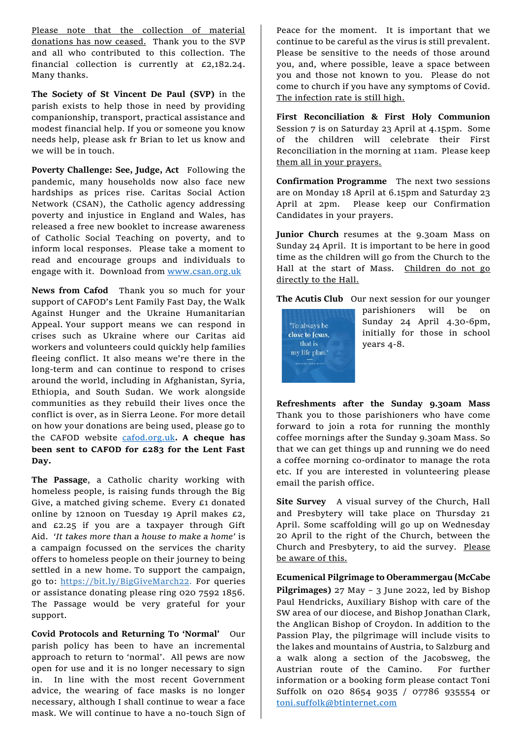Please note that the collection of material donations has now ceased. Thank you to the SVP and all who contributed to this collection. The financial collection is currently at £2,182.24. Many thanks.

**The Society of St Vincent De Paul (SVP)** in the parish exists to help those in need by providing companionship, transport, practical assistance and modest financial help. If you or someone you know needs help, please ask fr Brian to let us know and we will be in touch.

**Poverty Challenge: See, Judge, Act** Following the pandemic, many households now also face new hardships as prices rise. Caritas Social Action Network (CSAN), the Catholic agency addressing poverty and injustice in England and Wales, has released a free new booklet to increase awareness of Catholic Social Teaching on poverty, and to inform local responses. Please take a moment to read and encourage groups and individuals to engage with it. Download from [www.csan.org.uk](http://www.csan.org.uk/)

**News from Cafod** Thank you so much for your support of CAFOD's Lent Family Fast Day, the Walk Against Hunger and the Ukraine Humanitarian Appeal. Your support means we can respond in crises such as Ukraine where our Caritas aid workers and volunteers could quickly help families fleeing conflict. It also means we're there in the long-term and can continue to respond to crises around the world, including in Afghanistan, Syria, Ethiopia, and South Sudan. We work alongside communities as they rebuild their lives once the conflict is over, as in Sierra Leone. For more detail on how your donations are being used, please go to the CAFOD website [cafod.org.uk](http://www.cafod.org.uk/)**. A cheque has been sent to CAFOD for £283 for the Lent Fast Day.**

**The Passage**, a Catholic charity working with homeless people, is raising funds through the Big Give, a matched giving scheme. Every £1 donated online by 12noon on Tuesday 19 April makes £2, and £2.25 if you are a taxpayer through Gift Aid. *'It takes more than a house to make a home'* is a campaign focussed on the services the charity offers to homeless people on their journey to being settled in a new home. To support the campaign, go to: [https://bit.ly/BigGiveMarch22.](https://bit.ly/BigGiveMarch22) For queries or assistance donating please ring 020 7592 1856. The Passage would be very grateful for your support.

**Covid Protocols and Returning To 'Normal'** Our parish policy has been to have an incremental approach to return to 'normal'. All pews are now open for use and it is no longer necessary to sign in. In line with the most recent Government advice, the wearing of face masks is no longer necessary, although I shall continue to wear a face mask. We will continue to have a no-touch Sign of

Peace for the moment. It is important that we continue to be careful as the virus is still prevalent. Please be sensitive to the needs of those around you, and, where possible, leave a space between you and those not known to you. Please do not come to church if you have any symptoms of Covid. The infection rate is still high.

**First Reconciliation & First Holy Communion**  Session 7 is on Saturday 23 April at 4.15pm. Some of the children will celebrate their First Reconciliation in the morning at 11am. Please keep them all in your prayers.

**Confirmation Programme** The next two sessions are on Monday 18 April at 6.15pm and Saturday 23 April at 2pm. Please keep our Confirmation Candidates in your prayers.

**Junior Church** resumes at the 9.30am Mass on Sunday 24 April. It is important to be here in good time as the children will go from the Church to the Hall at the start of Mass. Children do not go directly to the Hall.

The Acutis Club Our next session for our younger



parishioners will be on Sunday 24 April 4.30-6pm, initially for those in school years 4-8.

**Refreshments after the Sunday 9.30am Mass**  Thank you to those parishioners who have come forward to join a rota for running the monthly coffee mornings after the Sunday 9.30am Mass. So that we can get things up and running we do need a coffee morning co-ordinator to manage the rota etc. If you are interested in volunteering please email the parish office.

**Site Survey** A visual survey of the Church, Hall and Presbytery will take place on Thursday 21 April. Some scaffolding will go up on Wednesday 20 April to the right of the Church, between the Church and Presbytery, to aid the survey. Please be aware of this.

**Ecumenical Pilgrimage to Oberammergau (McCabe Pilgrimages)** 27 May – 3 June 2022, led by Bishop Paul Hendricks, Auxiliary Bishop with care of the SW area of our diocese, and Bishop Jonathan Clark, the Anglican Bishop of Croydon. In addition to the Passion Play, the pilgrimage will include visits to the lakes and mountains of Austria, to Salzburg and a walk along a section of the Jacobsweg, the Austrian route of the Camino. For further information or a booking form please contact Toni Suffolk on 020 8654 9035 / 07786 935554 or [toni.suffolk@btinternet.com](mailto:toni.suffolk@btinternet.com)